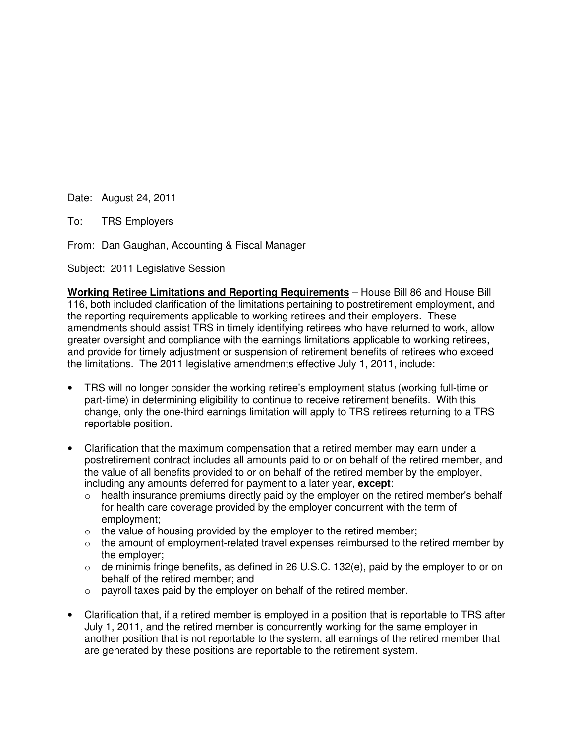Date: August 24, 2011

To: TRS Employers

From: Dan Gaughan, Accounting & Fiscal Manager

Subject: 2011 Legislative Session

**Working Retiree Limitations and Reporting Requirements** – House Bill 86 and House Bill 116, both included clarification of the limitations pertaining to postretirement employment, and the reporting requirements applicable to working retirees and their employers. These amendments should assist TRS in timely identifying retirees who have returned to work, allow greater oversight and compliance with the earnings limitations applicable to working retirees, and provide for timely adjustment or suspension of retirement benefits of retirees who exceed the limitations. The 2011 legislative amendments effective July 1, 2011, include:

- TRS will no longer consider the working retiree's employment status (working full-time or part-time) in determining eligibility to continue to receive retirement benefits. With this change, only the one-third earnings limitation will apply to TRS retirees returning to a TRS reportable position.
- Clarification that the maximum compensation that a retired member may earn under a postretirement contract includes all amounts paid to or on behalf of the retired member, and the value of all benefits provided to or on behalf of the retired member by the employer, including any amounts deferred for payment to a later year, **except**:
	- o health insurance premiums directly paid by the employer on the retired member's behalf for health care coverage provided by the employer concurrent with the term of employment;
	- $\circ$  the value of housing provided by the employer to the retired member;
	- o the amount of employment-related travel expenses reimbursed to the retired member by the employer;
	- $\circ$  de minimis fringe benefits, as defined in 26 U.S.C. 132(e), paid by the employer to or on behalf of the retired member; and
	- $\circ$  payroll taxes paid by the employer on behalf of the retired member.
- Clarification that, if a retired member is employed in a position that is reportable to TRS after July 1, 2011, and the retired member is concurrently working for the same employer in another position that is not reportable to the system, all earnings of the retired member that are generated by these positions are reportable to the retirement system.